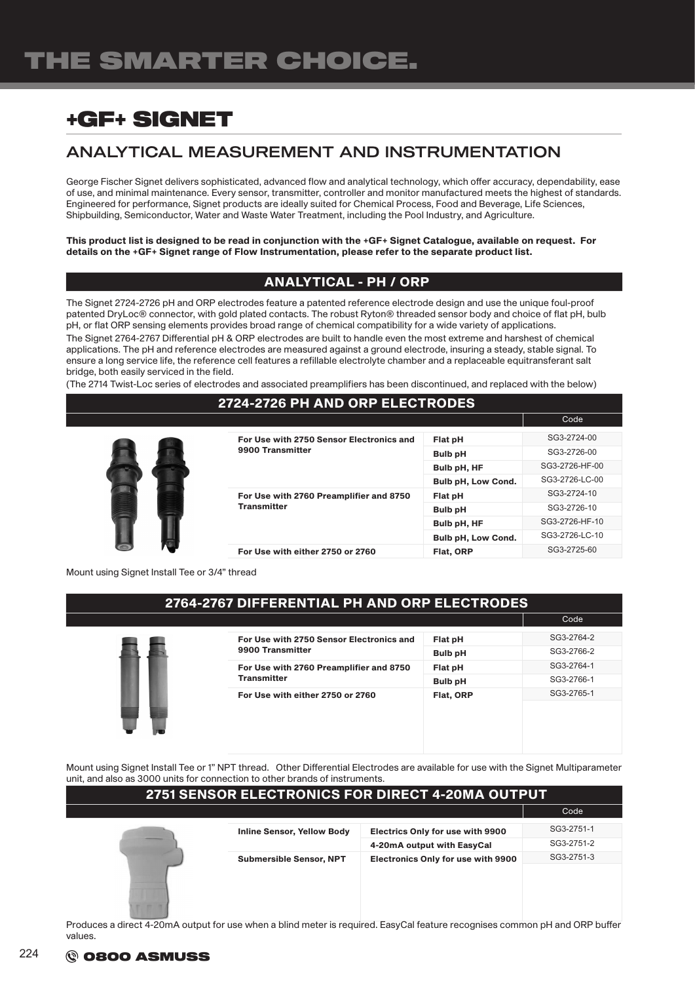## ANALYTICAL MEASUREMENT AND INSTRUMENTATION

George Fischer Signet delivers sophisticated, advanced flow and analytical technology, which offer accuracy, dependability, ease of use, and minimal maintenance. Every sensor, transmitter, controller and monitor manufactured meets the highest of standards. Engineered for performance, Signet products are ideally suited for Chemical Process, Food and Beverage, Life Sciences, Shipbuilding, Semiconductor, Water and Waste Water Treatment, including the Pool Industry, and Agriculture.

This product list is designed to be read in conjunction with the +GF+ Signet Catalogue, available on request. For details on the +GF+ Signet range of Flow Instrumentation, please refer to the separate product list.

### ANALYTICAL - PH / ORP

The Signet 2724-2726 pH and ORP electrodes feature a patented reference electrode design and use the unique foul-proof patented DryLoc® connector, with gold plated contacts. The robust Ryton® threaded sensor body and choice of flat pH, bulb pH, or flat ORP sensing elements provides broad range of chemical compatibility for a wide variety of applications. The Signet 2764-2767 Differential pH & ORP electrodes are built to handle even the most extreme and harshest of chemical applications. The pH and reference electrodes are measured against a ground electrode, insuring a steady, stable signal. To ensure a long service life, the reference cell features a refillable electrolyte chamber and a replaceable equitransferant salt bridge, both easily serviced in the field.

(The 2714 Twist-Loc series of electrodes and associated preamplifiers has been discontinued, and replaced with the below)

#### 2724-2726 PH AND ORP ELECTRODES



| For Use with 2750 Sensor Electronics and<br>9900 Transmitter  | Flat pH                   | SG3-2724-00    |
|---------------------------------------------------------------|---------------------------|----------------|
|                                                               | <b>Bulb pH</b>            | SG3-2726-00    |
|                                                               | Bulb pH, HF               | SG3-2726-HF-00 |
|                                                               | Bulb pH, Low Cond.        | SG3-2726-LC-00 |
| For Use with 2760 Preamplifier and 8750<br><b>Transmitter</b> | Flat pH                   | SG3-2724-10    |
|                                                               | <b>Bulb pH</b>            | SG3-2726-10    |
|                                                               | Bulb pH, HF               | SG3-2726-HF-10 |
|                                                               | <b>Bulb pH, Low Cond.</b> | SG3-2726-LC-10 |
| For Use with either 2750 or 2760                              | <b>Flat. ORP</b>          | SG3-2725-60    |

en de la construcción de la construcción de la construcción de la construcción de la construcción de la constr

Mount using Signet Install Tee or 3/4" thread

#### 2764-2767 DIFFERENTIAL PH AND ORP ELECTRODES

|   |                                                               |                | Code       |
|---|---------------------------------------------------------------|----------------|------------|
|   | For Use with 2750 Sensor Electronics and<br>9900 Transmitter  | Flat pH        | SG3-2764-2 |
|   |                                                               | <b>Bulb pH</b> | SG3-2766-2 |
|   | For Use with 2760 Preamplifier and 8750<br><b>Transmitter</b> | Flat pH        | SG3-2764-1 |
|   |                                                               | <b>Bulb pH</b> | SG3-2766-1 |
|   | For Use with either 2750 or 2760                              | Flat, ORP      | SG3-2765-1 |
| w |                                                               |                |            |

Mount using Signet Install Tee or 1" NPT thread. Other Differential Electrodes are available for use with the Signet Multiparameter unit, and also as 3000 units for connection to other brands of instruments.

| <b>2751 SENSOR ELECTRONICS FOR DIRECT 4-20MA OUTPUT</b> |                                           |                                         |            |
|---------------------------------------------------------|-------------------------------------------|-----------------------------------------|------------|
|                                                         |                                           |                                         | Code       |
|                                                         | <b>Inline Sensor, Yellow Body</b>         | <b>Electrics Only for use with 9900</b> | SG3-2751-1 |
|                                                         |                                           | 4-20mA output with EasyCal              | SG3-2751-2 |
| <b>Submersible Sensor, NPT</b>                          | <b>Electronics Only for use with 9900</b> | SG3-2751-3                              |            |
|                                                         |                                           |                                         |            |

Produces a direct 4-20mA output for use when a blind meter is required. EasyCal feature recognises common pH and ORP buffer values.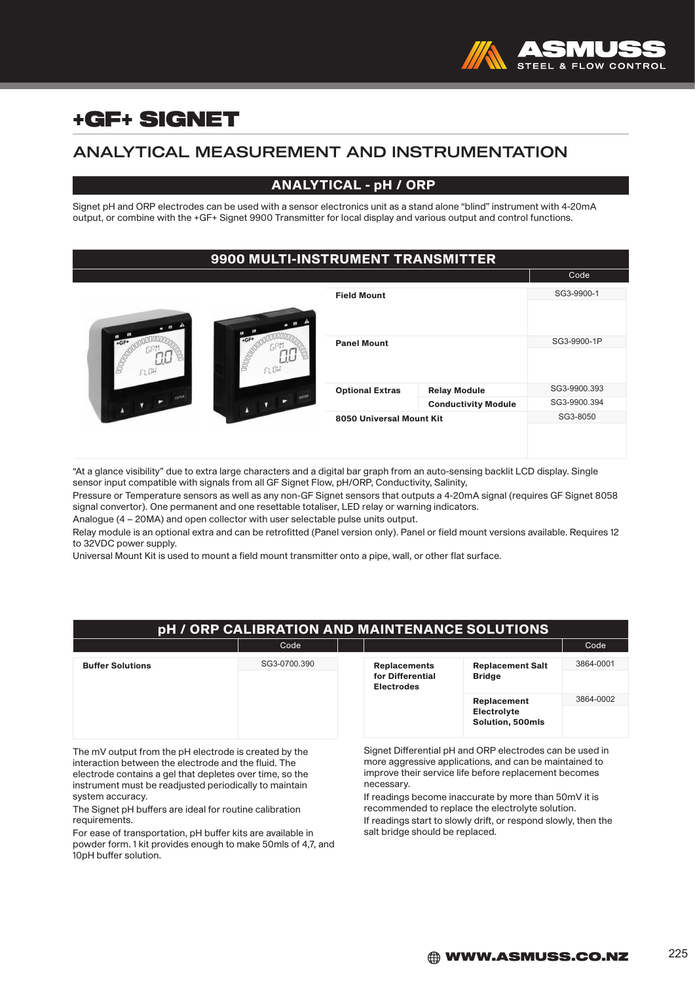

## ANALYTICAL MEASUREMENT AND INSTRUMENTATION

### ANALYTICAL - pH / ORP

Signet pH and ORP electrodes can be used with a sensor electronics unit as a stand alone "blind" instrument with 4-20mA output, or combine with the +GF+ Signet 9900 Transmitter for local display and various output and control functions.

### 9900 MULTI-INSTRUMENT TRANSMITTER

|                                             |                          |                            | Code         |
|---------------------------------------------|--------------------------|----------------------------|--------------|
|                                             | <b>Field Mount</b>       |                            | SG3-9900-1   |
|                                             |                          |                            |              |
| $+GF$<br>$+GF$                              | <b>Panel Mount</b>       |                            | SG3-9900-1P  |
| <b>DDDDG</b><br><b>DODG</b><br>FLCH<br>FLOW |                          |                            |              |
|                                             | <b>Optional Extras</b>   | <b>Relay Module</b>        | SG3-9900.393 |
|                                             |                          | <b>Conductivity Module</b> | SG3-9900.394 |
|                                             | 8050 Universal Mount Kit |                            | SG3-8050     |
|                                             |                          |                            |              |
|                                             |                          |                            |              |

"At a glance visibility" due to extra large characters and a digital bar graph from an auto-sensing backlit LCD display. Single sensor input compatible with signals from all GF Signet Flow, pH/ORP, Conductivity, Salinity,

Pressure or Temperature sensors as well as any non-GF Signet sensors that outputs a 4-20mA signal (requires GF Signet 8058 signal convertor). One permanent and one resettable totaliser, LED relay or warning indicators.

Analogue (4 – 20MA) and open collector with user selectable pulse units output.

Relay module is an optional extra and can be retrofitted (Panel version only). Panel or field mount versions available. Requires 12 to 32VDC power supply.

Universal Mount Kit is used to mount a field mount transmitter onto a pipe, wall, or other flat surface.

| pH / ORP CALIBRATION AND MAINTENANCE SOLUTIONS |                                     |                                       |                                          |           |
|------------------------------------------------|-------------------------------------|---------------------------------------|------------------------------------------|-----------|
|                                                | Code                                |                                       |                                          | Code      |
| <b>Buffer Solutions</b>                        | SG3-0700.390<br><b>Replacements</b> |                                       | <b>Replacement Salt</b><br><b>Bridge</b> | 3864-0001 |
|                                                |                                     | for Differential<br><b>Electrodes</b> |                                          |           |
|                                                |                                     |                                       | <b>Replacement</b>                       | 3864-0002 |
|                                                |                                     |                                       | Electrolyte<br>Solution, 500mls          |           |

The mV output from the pH electrode is created by the interaction between the electrode and the fluid. The electrode contains a gel that depletes over time, so the instrument must be readjusted periodically to maintain system accuracy.

The Signet pH buffers are ideal for routine calibration requirements.

For ease of transportation, pH buffer kits are available in powder form. 1 kit provides enough to make 50mls of 4,7, and 10pH buffer solution.

Signet Differential pH and ORP electrodes can be used in more aggressive applications, and can be maintained to improve their service life before replacement becomes necessary.

If readings become inaccurate by more than 50mV it is recommended to replace the electrolyte solution. If readings start to slowly drift, or respond slowly, then the salt bridge should be replaced.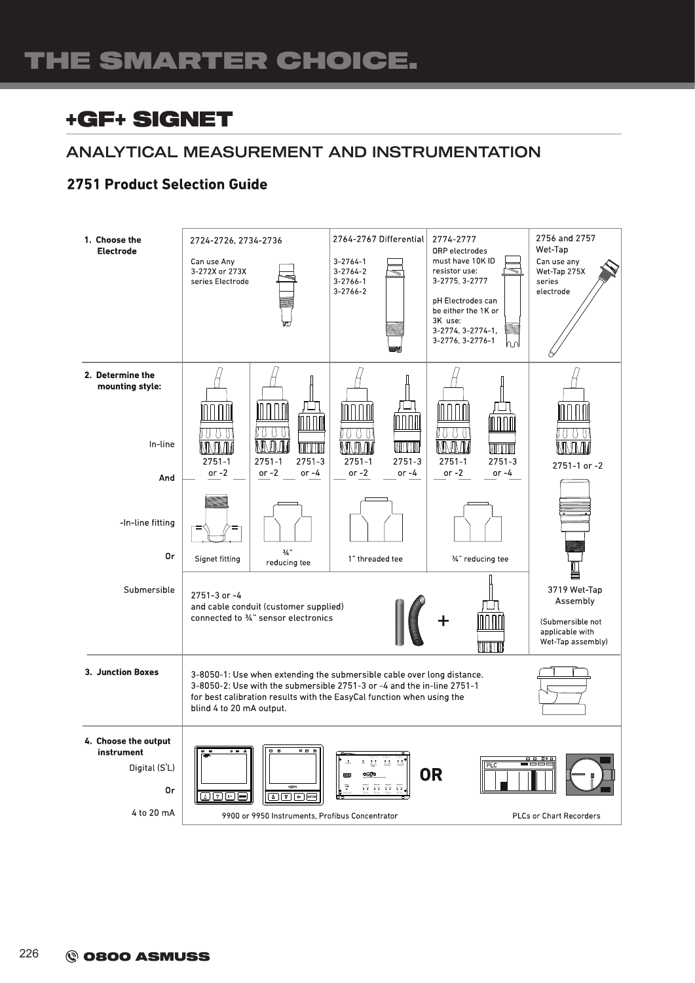## ANALYTICAL MEASUREMENT AND INSTRUMENTATION

### **2751 Product Selection Guide**